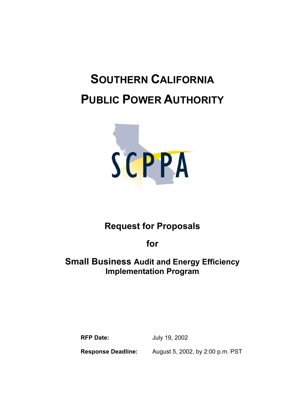# **SOUTHERN CALIFORNIA PUBLIC POWER AUTHORITY**



# **Request for Proposals**

**for** 

## **Small Business Audit and Energy Efficiency Implementation Program**

**RFP Date:** July 19, 2002

**Response Deadline:** August 5, 2002, by 2:00 p.m. PST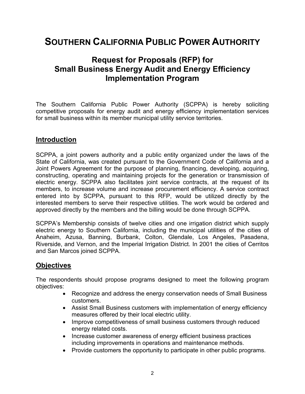# **SOUTHERN CALIFORNIA PUBLIC POWER AUTHORITY**

### **Request for Proposals (RFP) for Small Business Energy Audit and Energy Efficiency Implementation Program**

The Southern California Public Power Authority (SCPPA) is hereby soliciting competitive proposals for energy audit and energy efficiency implementation services for small business within its member municipal utility service territories.

#### **Introduction**

SCPPA, a joint powers authority and a public entity organized under the laws of the State of California, was created pursuant to the Government Code of California and a Joint Powers Agreement for the purpose of planning, financing, developing, acquiring, constructing, operating and maintaining projects for the generation or transmission of electric energy. SCPPA also facilitates joint service contracts, at the request of its members, to increase volume and increase procurement efficiency. A service contract entered into by SCPPA, pursuant to this RFP, would be utilized directly by the interested members to serve their respective utilities. The work would be ordered and approved directly by the members and the billing would be done through SCPPA.

SCPPA's Membership consists of twelve cities and one irrigation district which supply electric energy to Southern California, including the municipal utilities of the cities of Anaheim, Azusa, Banning, Burbank, Colton, Glendale, Los Angeles, Pasadena, Riverside, and Vernon, and the Imperial Irrigation District. In 2001 the cities of Cerritos and San Marcos joined SCPPA.

#### **Objectives**

The respondents should propose programs designed to meet the following program objectives:

- Recognize and address the energy conservation needs of Small Business customers.
- Assist Small Business customers with implementation of energy efficiency measures offered by their local electric utility.
- Improve competitiveness of small business customers through reduced energy related costs.
- Increase customer awareness of energy efficient business practices including improvements in operations and maintenance methods.
- Provide customers the opportunity to participate in other public programs.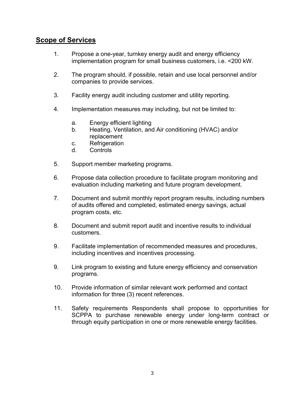#### **Scope of Services**

- 1. Propose a one-year, turnkey energy audit and energy efficiency implementation program for small business customers, i.e. <200 kW.
- 2. The program should, if possible, retain and use local personnel and/or companies to provide services.
- 3. Facility energy audit including customer and utility reporting.
- 4. Implementation measures may including, but not be limited to:
	- a. Energy efficient lighting
	- b. Heating, Ventilation, and Air conditioning (HVAC) and/or replacement
	- c. Refrigeration
	- d. Controls
- 5. Support member marketing programs.
- 6. Propose data collection procedure to facilitate program monitoring and evaluation including marketing and future program development.
- 7. Document and submit monthly report program results, including numbers of audits offered and completed, estimated energy savings, actual program costs, etc.
- 8. Document and submit report audit and incentive results to individual customers.
- 9. Facilitate implementation of recommended measures and procedures, including incentives and incentives processing.
- 9. Link program to existing and future energy efficiency and conservation programs.
- 10. Provide information of similar relevant work performed and contact information for three (3) recent references.
- 11. Safety requirements Respondents shall propose to opportunities for SCPPA to purchase renewable energy under long-term contract or through equity participation in one or more renewable energy facilities.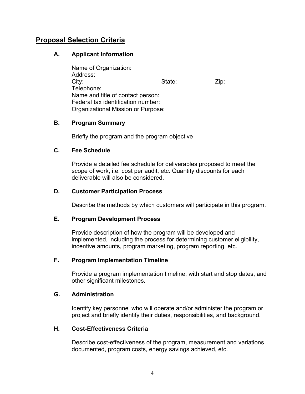#### **Proposal Selection Criteria**

#### **A. Applicant Information**

 Name of Organization: Address: City: City: City: City: City: City: City: City: City: City: City: City: City: City: City: City: City: City: City: City: City: City: City: City: City: City: City: City: City: City: City: City: City: City: City: City: City: Telephone: Name and title of contact person: Federal tax identification number: Organizational Mission or Purpose:

#### **B. Program Summary**

Briefly the program and the program objective

#### **C. Fee Schedule**

Provide a detailed fee schedule for deliverables proposed to meet the scope of work, i.e. cost per audit, etc. Quantity discounts for each deliverable will also be considered.

#### **D. Customer Participation Process**

Describe the methods by which customers will participate in this program.

#### **E. Program Development Process**

Provide description of how the program will be developed and implemented, including the process for determining customer eligibility, incentive amounts, program marketing, program reporting, etc.

#### **F. Program Implementation Timeline**

Provide a program implementation timeline, with start and stop dates, and other significant milestones.

#### **G. Administration**

Identify key personnel who will operate and/or administer the program or project and briefly identify their duties, responsibilities, and background.

#### **H. Cost-Effectiveness Criteria**

Describe cost-effectiveness of the program, measurement and variations documented, program costs, energy savings achieved, etc.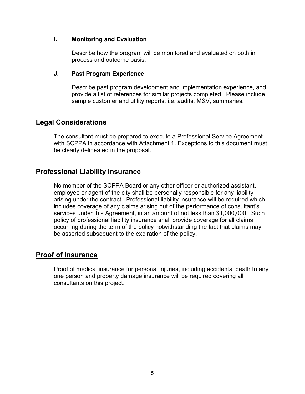#### **I. Monitoring and Evaluation**

Describe how the program will be monitored and evaluated on both in process and outcome basis.

#### **J. Past Program Experience**

Describe past program development and implementation experience, and provide a list of references for similar projects completed. Please include sample customer and utility reports, i.e. audits, M&V, summaries.

#### **Legal Considerations**

The consultant must be prepared to execute a Professional Service Agreement with SCPPA in accordance with Attachment 1. Exceptions to this document must be clearly delineated in the proposal.

#### **Professional Liability Insurance**

No member of the SCPPA Board or any other officer or authorized assistant, employee or agent of the city shall be personally responsible for any liability arising under the contract. Professional liability insurance will be required which includes coverage of any claims arising out of the performance of consultant's services under this Agreement, in an amount of not less than \$1,000,000. Such policy of professional liability insurance shall provide coverage for all claims occurring during the term of the policy notwithstanding the fact that claims may be asserted subsequent to the expiration of the policy.

#### **Proof of Insurance**

Proof of medical insurance for personal injuries, including accidental death to any one person and property damage insurance will be required covering all consultants on this project.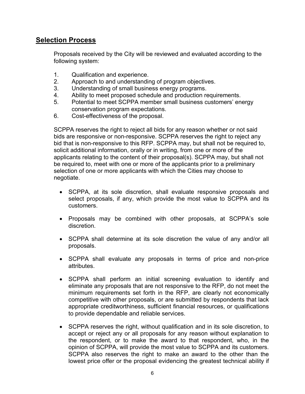#### **Selection Process**

Proposals received by the City will be reviewed and evaluated according to the following system:

- 1. Qualification and experience.
- 2. Approach to and understanding of program objectives.
- 3. Understanding of small business energy programs.
- 4. Ability to meet proposed schedule and production requirements.
- 5. Potential to meet SCPPA member small business customers' energy conservation program expectations.
- 6. Cost-effectiveness of the proposal.

SCPPA reserves the right to reject all bids for any reason whether or not said bids are responsive or non-responsive. SCPPA reserves the right to reject any bid that is non-responsive to this RFP. SCPPA may, but shall not be required to, solicit additional information, orally or in writing, from one or more of the applicants relating to the content of their proposal(s). SCPPA may, but shall not be required to, meet with one or more of the applicants prior to a preliminary selection of one or more applicants with which the Cities may choose to negotiate.

- SCPPA, at its sole discretion, shall evaluate responsive proposals and select proposals, if any, which provide the most value to SCPPA and its customers.
- Proposals may be combined with other proposals, at SCPPA's sole discretion.
- SCPPA shall determine at its sole discretion the value of any and/or all proposals.
- SCPPA shall evaluate any proposals in terms of price and non-price attributes.
- SCPPA shall perform an initial screening evaluation to identify and eliminate any proposals that are not responsive to the RFP, do not meet the minimum requirements set forth in the RFP, are clearly not economically competitive with other proposals, or are submitted by respondents that lack appropriate creditworthiness, sufficient financial resources, or qualifications to provide dependable and reliable services.
- SCPPA reserves the right, without qualification and in its sole discretion, to accept or reject any or all proposals for any reason without explanation to the respondent, or to make the award to that respondent, who, in the opinion of SCPPA, will provide the most value to SCPPA and its customers. SCPPA also reserves the right to make an award to the other than the lowest price offer or the proposal evidencing the greatest technical ability if